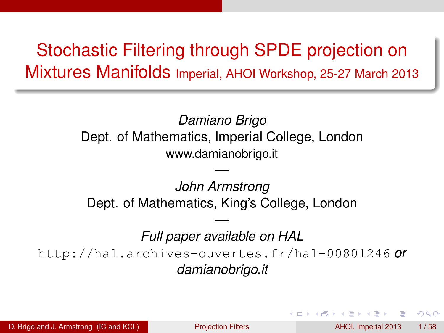# Stochastic Filtering through SPDE projection on Mixtures Manifolds Imperial, AHOI Workshop, 25-27 March 2013

#### *Damiano Brigo* Dept. of Mathematics, Imperial College, London www.damianobrigo.it

— *John Armstrong* Dept. of Mathematics, King's College, London

—

*Full paper available on HAL* http://hal.archives-ouvertes.fr/hal-00801246 *or damianobrigo.it*

D. Brigo and J. Armstrong (IC and KCL) [Projection Filters](#page-73-0) AHOI, Imperial 2013 1/58

<span id="page-0-0"></span> $\Omega$ 

重き イヨネ

 $1.71 \times 1.71 \times$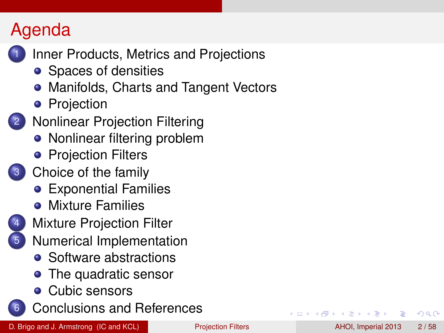# Agenda

- **[Inner Products, Metrics and Projections](#page-2-0)** 
	- [Spaces of densities](#page-2-0)
	- [Manifolds, Charts and Tangent Vectors](#page-5-0)
	- **•** [Projection](#page-12-0)
- **[Nonlinear Projection Filtering](#page-13-0)** 
	- [Nonlinear filtering problem](#page-13-0)
	- [Projection Filters](#page-15-0)
- [Choice of the family](#page-18-0)
	- **•** [Exponential Families](#page-18-0)
	- **[Mixture Families](#page-21-0)**
- **[Mixture Projection Filter](#page-24-0)** 
	- [Numerical Implementation](#page-26-0)
		- [Software abstractions](#page-35-0)
		- [The quadratic sensor](#page-44-0)
		- **•** [Cubic sensors](#page-61-0)
- 6 [Conclusions and References](#page-64-0)

 $\Omega$ 

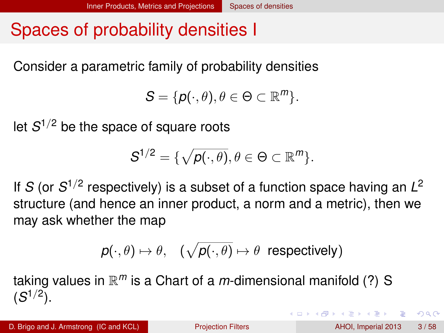## Spaces of probability densities I

Consider a parametric family of probability densities

 $S = \{p(\cdot,\theta), \theta \in \Theta \subset \mathbb{R}^m\}.$ 

let *S* <sup>1</sup>/<sup>2</sup> be the space of square roots

$$
S^{1/2} = \{ \sqrt{p(\cdot,\theta)}, \theta \in \Theta \subset \mathbb{R}^m \}.
$$

If S (or S<sup>1/2</sup> respectively) is a subset of a function space having an L<sup>2</sup> structure (and hence an inner product, a norm and a metric), then we may ask whether the map

$$
\textit{p}(\cdot,\theta)\mapsto \theta,\quad (\sqrt{\textit{p}(\cdot,\theta)}\mapsto \theta\;\;\text{respectively})
$$

taking values in  $\mathbb{R}^m$  is a Chart of a *m*-dimensional manifold (?) S  $(S^{1/2})$ .

<span id="page-2-0"></span> $\Omega$ 

 $(0.123 \times 10^{-14} \text{ m}) \times 10^{-14} \text{ m} \times 10^{-14} \text{ m}$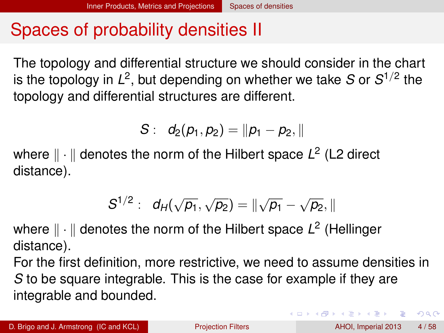# Spaces of probability densities II

The topology and differential structure we should consider in the chart is the topology in  $L^2$ , but depending on whether we take  $S$  or  $S^{1/2}$  the topology and differential structures are different.

$$
S: d_2(p_1, p_2) = ||p_1 - p_2||
$$

where  $\|\cdot\|$  denotes the norm of the Hilbert space  $L^2$  (L2 direct distance).

$$
S^{1/2}:\ d_H(\sqrt{\rho_1},\sqrt{\rho_2})=\|\sqrt{\rho_1}-\sqrt{\rho_2},\|
$$

where  $\|\cdot\|$  denotes the norm of the Hilbert space  $L^2$  (Hellinger distance).

For the first definition, more restrictive, we need to assume densities in *S* to be square integrable. This is the case for example if they are integrable and bounded.

<span id="page-3-0"></span> $QQQ$ 

 $(0.123 \times 10^{-14} \text{ m}) \times 10^{-14} \text{ m} \times 10^{-14} \text{ m}$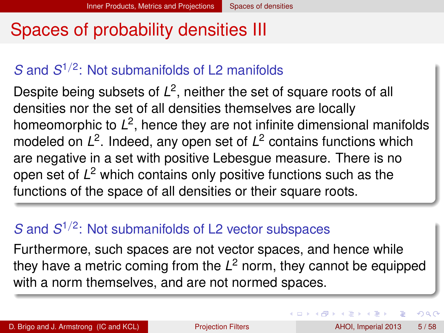# Spaces of probability densities III

#### *S* and *S*<sup>1/2</sup>: Not submanifolds of L2 manifolds

Despite being subsets of L<sup>2</sup>, neither the set of square roots of all densities nor the set of all densities themselves are locally homeomorphic to *L* 2 , hence they are not infinite dimensional manifolds modeled on *L* 2 . Indeed, any open set of *L* <sup>2</sup> contains functions which are negative in a set with positive Lebesgue measure. There is no open set of *L* <sup>2</sup> which contains only positive functions such as the functions of the space of all densities or their square roots.

#### *S* and  $S^{1/2}$ : Not submanifolds of L2 vector subspaces

Furthermore, such spaces are not vector spaces, and hence while they have a metric coming from the *L* <sup>2</sup> norm, they cannot be equipped with a norm themselves, and are not normed spaces.

<span id="page-4-0"></span> $\Omega$ 

 $(0,1)$   $(0,1)$   $(0,1)$   $(1,1)$   $(1,1)$   $(1,1)$   $(1,1)$   $(1,1)$   $(1,1)$   $(1,1)$   $(1,1)$   $(1,1)$   $(1,1)$   $(1,1)$   $(1,1)$   $(1,1)$   $(1,1)$   $(1,1)$   $(1,1)$   $(1,1)$   $(1,1)$   $(1,1)$   $(1,1)$   $(1,1)$   $(1,1)$   $(1,1)$   $(1,1)$   $(1,1$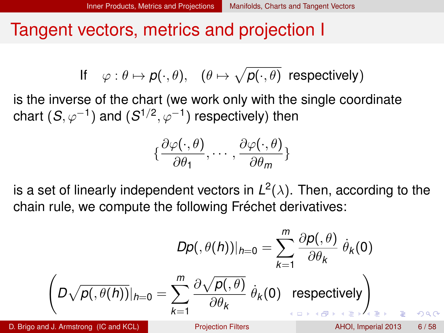#### Tangent vectors, metrics and projection I

If 
$$
\varphi : \theta \mapsto p(\cdot, \theta)
$$
,  $(\theta \mapsto \sqrt{p(\cdot, \theta)})$  respectively)

is the inverse of the chart (we work only with the single coordinate chart  $(\mathcal S, \varphi^{-1})$  and  $(\mathcal S^{1/2}, \varphi^{-1})$  respectively) then

<span id="page-5-0"></span>
$$
\{\frac{\partial \varphi(\cdot,\theta)}{\partial \theta_1},\cdots,\frac{\partial \varphi(\cdot,\theta)}{\partial \theta_m}\}
$$

is a set of linearly independent vectors in  $L^2(\lambda).$  Then, according to the chain rule, we compute the following Fréchet derivatives:

$$
Dp(, \theta(h))|_{h=0} = \sum_{k=1}^{m} \frac{\partial p(, \theta)}{\partial \theta_k} \dot{\theta}_k(0)
$$

$$
\left(D\sqrt{p(, \theta(h))}|_{h=0} = \sum_{k=1}^{m} \frac{\partial \sqrt{p(, \theta)}}{\partial \theta_k} \dot{\theta}_k(0) \text{ respectively}\right)
$$
  
D. Brigo and J. Armstrong (IC and KCL)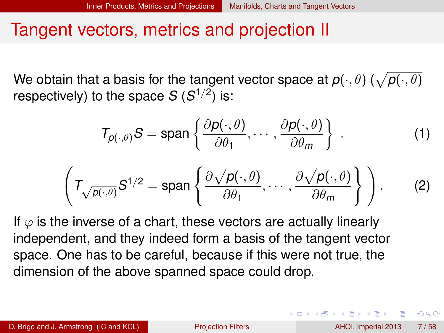#### Tangent vectors, metrics and projection II

We obtain that a basis for the tangent vector space at  $p(\cdot,\theta)$   $(\sqrt{\rho(\cdot,\theta)})$ respectively) to the space *S* (*S* 1/2 ) is:

$$
T_{p(\cdot,\theta)}S = \text{span}\left\{\frac{\partial p(\cdot,\theta)}{\partial \theta_1},\cdots,\frac{\partial p(\cdot,\theta)}{\partial \theta_m}\right\}.
$$
 (1)

$$
\left(\mathcal{T}_{\sqrt{p(\cdot,\theta)}}S^{1/2}=\text{span}\left\{\frac{\partial\sqrt{p(\cdot,\theta)}}{\partial\theta_1},\cdots,\frac{\partial\sqrt{p(\cdot,\theta)}}{\partial\theta_m}\right\}\right).
$$
 (2)

If  $\varphi$  is the inverse of a chart, these vectors are actually linearly independent, and they indeed form a basis of the tangent vector space. One has to be careful, because if this were not true, the dimension of the above spanned space could drop.

<span id="page-6-0"></span> $\Omega$ 

イロト イ押 トイラト イラトー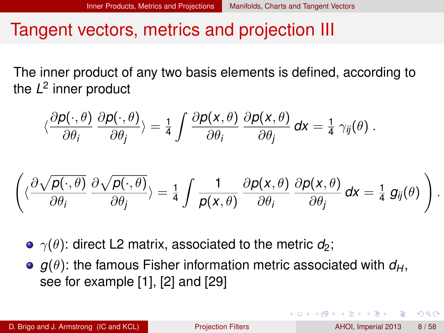#### Tangent vectors, metrics and projection III

The inner product of any two basis elements is defined, according to the *L* 2 inner product

$$
\langle \frac{\partial p(\cdot,\theta)}{\partial \theta_i} \frac{\partial p(\cdot,\theta)}{\partial \theta_j} \rangle = \frac{1}{4} \int \frac{\partial p(x,\theta)}{\partial \theta_i} \frac{\partial p(x,\theta)}{\partial \theta_j} dx = \frac{1}{4} \gamma_{ij}(\theta) .
$$
  

$$
\langle \nabla p(\cdot,\theta) \rangle \frac{\partial \sqrt{p(\cdot,\theta)}}{\partial \theta_j} \rangle = \frac{1}{4} \int \frac{1}{\sqrt{1-\theta}} \frac{\partial p(x,\theta)}{\partial \theta_j} \frac{\partial p(x,\theta)}{\partial \theta_j} dx = \frac{1}{4} \gamma_{ij}(\theta) .
$$

$$
\langle \frac{\partial \varphi \varphi(x, \theta)}{\partial \theta_i} \frac{\partial \varphi \varphi(x, \theta)}{\partial \theta_j} \rangle = \frac{1}{4} \int \frac{\partial \varphi(x, \theta)}{\partial (\theta_i \theta_i)} \frac{\partial \varphi(x, \theta)}{\partial \theta_j} dx = \frac{1}{4} g_{ij}(\theta)
$$

- $\gamma(\theta)$ : direct L2 matrix, associated to the metric  $d_2$ ;
- $\bullet$   $g(\theta)$ : the famous Fisher information metric associated with  $d_H$ , see for example [\[1\]](#page-66-0), [\[2\]](#page-66-1) and [\[29\]](#page-72-0)

 $\sqrt{ }$ 

∂

 $\setminus$ .

<span id="page-7-0"></span> $\Omega$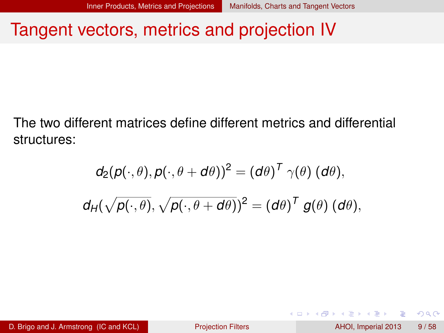#### Tangent vectors, metrics and projection IV

The two different matrices define different metrics and differential structures:

$$
\begin{array}{c} \displaystyle d_2(\rho(\cdot,\theta),\rho(\cdot,\theta+d\theta))^2 = (d\theta)^{\sf \scriptscriptstyle T} \; \gamma(\theta) \; (d\theta), \\\\ \displaystyle d_H(\sqrt{\rho(\cdot,\theta)},\sqrt{\rho(\cdot,\theta+d\theta)})^2 = (d\theta)^{\sf \scriptscriptstyle T} \; g(\theta) \; (d\theta), \end{array}
$$

<span id="page-8-0"></span> $\Omega$ 

**REPARE** 

 $\leftarrow$   $\Box$   $\rightarrow$   $\leftarrow$   $\leftarrow$   $\Box$   $\rightarrow$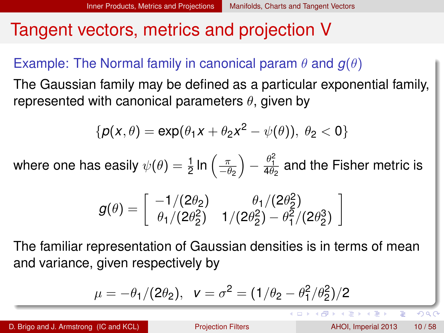#### Tangent vectors, metrics and projection V

#### Example: The Normal family in canonical param  $\theta$  and  $q(\theta)$

The Gaussian family may be defined as a particular exponential family, represented with canonical parameters  $\theta$ , given by

$$
\{p(x,\theta)=\exp(\theta_1x+\theta_2x^2-\psi(\theta)),\ \theta_2<0\}
$$

where one has easily  $\psi(\theta)=\frac{1}{2}\ln\left(\frac{\pi}{-\theta_2}\right)$  $\left( \frac{\theta_{1}^{2}}{4\theta_{2}}\right) -\frac{\theta_{1}^{2}}{4\theta_{2}}$  and the Fisher metric is

$$
g(\theta) = \left[ \begin{array}{cc} -1/(2\theta_2) & \theta_1/(2\theta_2^2) \\ \theta_1/(2\theta_2^2) & 1/(2\theta_2^2) - \theta_1^2/(2\theta_2^3) \end{array} \right]
$$

The familiar representation of Gaussian densities is in terms of mean and variance, given respectively by

$$
\mu=-\theta_1/(2\theta_2),\;\; \nu=\sigma^2=(1/\theta_2-\theta_1^2/\theta_2^2)/2
$$

Þ

<span id="page-9-0"></span> $\Omega$ 

イロンス 何 メステンス チン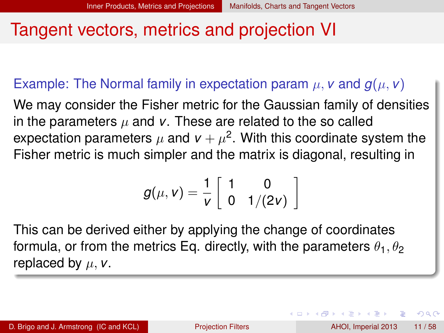#### Tangent vectors, metrics and projection VI

#### Example: The Normal family in expectation param  $\mu$ , *v* and  $g(\mu, v)$

We may consider the Fisher metric for the Gaussian family of densities in the parameters  $\mu$  and  $\nu$ . These are related to the so called expectation parameters  $\mu$  and  $\mathsf{v}+\mu^2.$  With this coordinate system the Fisher metric is much simpler and the matrix is diagonal, resulting in

$$
g(\mu, \nu) = \frac{1}{\nu} \left[ \begin{array}{cc} 1 & 0 \\ 0 & 1/(2\nu) \end{array} \right]
$$

This can be derived either by applying the change of coordinates formula, or from the metrics Eq. directly, with the parameters  $\theta_1, \theta_2$ replaced by  $\mu$ ,  $\nu$ .

<span id="page-10-0"></span> $\Omega$ 

 $(0,1)$   $(0,1)$   $(0,1)$   $(1,1)$   $(1,1)$   $(1,1)$   $(1,1)$   $(1,1)$   $(1,1)$   $(1,1)$   $(1,1)$   $(1,1)$   $(1,1)$   $(1,1)$   $(1,1)$   $(1,1)$   $(1,1)$   $(1,1)$   $(1,1)$   $(1,1)$   $(1,1)$   $(1,1)$   $(1,1)$   $(1,1)$   $(1,1)$   $(1,1)$   $(1,1)$   $(1,1$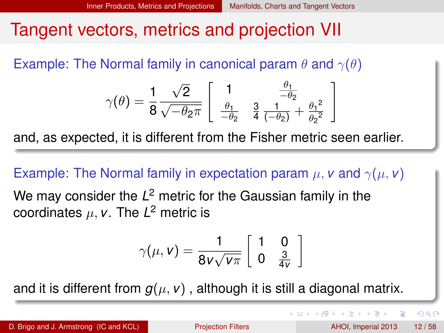#### Tangent vectors, metrics and projection VII

Example: The Normal family in canonical param  $\theta$  and  $\gamma(\theta)$ 

$$
\gamma(\theta) = \frac{1}{8} \frac{\sqrt{2}}{\sqrt{-\theta_2 \pi}} \left[\begin{array}{cc} 1 & \frac{\theta_1}{-\theta_2} \\ \frac{\theta_1}{-\theta_2} & \frac{3}{4} \frac{1}{(-\theta_2)} + \frac{\theta_1^2}{\theta_2^2} \end{array}\right]
$$

and, as expected, it is different from the Fisher metric seen earlier.

#### Example: The Normal family in expectation param  $\mu$ , *v* and  $\gamma(\mu, \nu)$

We may consider the L<sup>2</sup> metric for the Gaussian family in the coordinates  $\mu,$   $\boldsymbol{\mathsf v}$ . The  $\mathsf L^{\mathsf 2}$  metric is

$$
\gamma(\mu, \nu) = \frac{1}{8\nu\sqrt{\nu\pi}} \left[ \begin{array}{cc} 1 & 0 \\ 0 & \frac{3}{4\nu} \end{array} \right]
$$

and it is different from  $g(\mu, \nu)$ , although it is still a diagonal matrix.

<span id="page-11-0"></span> $\Omega$ 

イロト イ押 トイラト イラト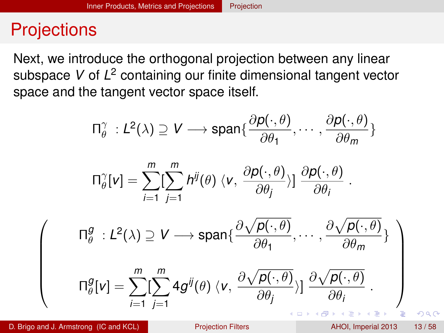## **Projections**

Next, we introduce the orthogonal projection between any linear subspace *V* of *L* <sup>2</sup> containing our finite dimensional tangent vector space and the tangent vector space itself.

$$
\Pi_{\theta}^{\gamma} : L^{2}(\lambda) \supseteq V \longrightarrow \text{span}\{\frac{\partial p(\cdot,\theta)}{\partial \theta_{1}}, \cdots, \frac{\partial p(\cdot,\theta)}{\partial \theta_{m}}\}
$$

$$
\Pi_{\theta}^{\gamma}[v] = \sum_{i=1}^{m} \sum_{j=1}^{m} h^{ij}(\theta) \langle v, \frac{\partial p(\cdot,\theta)}{\partial \theta_{j}} \rangle] \frac{\partial p(\cdot,\theta)}{\partial \theta_{i}}.
$$

$$
\Pi_{\theta}^{g} : L^{2}(\lambda) \supseteq V \longrightarrow \text{span}\{\frac{\partial \sqrt{p(\cdot,\theta)}}{\partial \theta_{1}}, \cdots, \frac{\partial \sqrt{p(\cdot,\theta)}}{\partial \theta_{m}}\}
$$

$$
\Pi_{\theta}^{g}[v] = \sum_{i=1}^{m} \left[\sum_{j=1}^{m} 4g^{ij}(\theta) \langle v, \frac{\partial \sqrt{p(\cdot,\theta)}}{\partial \theta_{j}} \rangle\right] \frac{\partial \sqrt{p(\cdot,\theta)}}{\partial \theta_{i}}
$$

D. Brigo and J. Armstrong (IC and KCL) [Projection Filters](#page-0-0) AHOI, Imperial 2013 13/58

 $\sqrt{ }$ 

<span id="page-12-0"></span>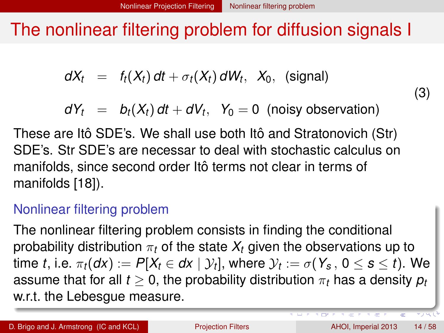#### The nonlinear filtering problem for diffusion signals I

$$
dX_t = f_t(X_t) dt + \sigma_t(X_t) dW_t, X_0, (signal)
$$

 $dY_t = b_t(X_t) dt + dV_t$ ,  $Y_0 = 0$  (noisy observation)

These are Itô SDE's. We shall use both Itô and Stratonovich (Str) SDE's. Str SDE's are necessar to deal with stochastic calculus on manifolds, since second order Itô terms not clear in terms of manifolds [\[18\]](#page-70-0)).

#### Nonlinear filtering problem

The nonlinear filtering problem consists in finding the conditional probability distribution  $\pi_t$  of the state  $X_t$  given the observations up to  $\textsf{time}\,\,t\text{, i.e.}\,\,\pi_t(d\textsf{x}) := P[X_t\in d\textsf{x}\mid{\cal Y}_t],$  where  ${\cal Y}_t:=\sigma(\textsf{Y}_{\mathbf{s}},\,0\leq \mathbf{s}\leq t).$  We assume that for all  $t > 0$ , the probability distribution  $\pi_t$  has a density  $p_t$ w.r.t. the Lebesgue measure.

<span id="page-13-0"></span>(3)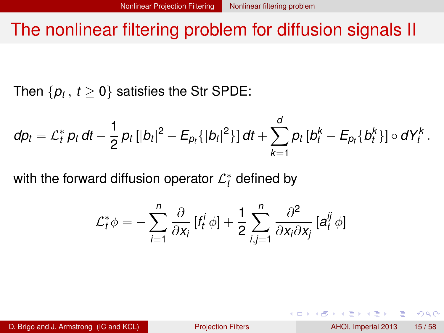### The nonlinear filtering problem for diffusion signals II

Then  $\{ \rho_t \,,\, t \geq 0 \}$  satisfies the Str SPDE:

$$
dp_t = \mathcal{L}_t^* p_t dt - \frac{1}{2} p_t [ |b_t|^2 - E_{p_t} \{ |b_t|^2 \}] dt + \sum_{k=1}^d p_t [ b_t^k - E_{p_t} \{ b_t^k \}] \circ dY_t^k.
$$

with the forward diffusion operator  $\mathcal{L}_t^*$  defined by

$$
\mathcal{L}_t^* \phi = -\sum_{i=1}^n \frac{\partial}{\partial x_i} \left[ f_t^i \phi \right] + \frac{1}{2} \sum_{i,j=1}^n \frac{\partial^2}{\partial x_i \partial x_j} \left[ a_t^{ij} \phi \right]
$$

D. Brigo and J. Armstrong (IC and KCL) **[Projection Filters](#page-0-0)** AHOI, Imperial 2013 15/58

<span id="page-14-0"></span> $\Omega$ 

医下す 医下

 $\leftarrow$   $\Box$   $\rightarrow$   $\leftarrow$   $\leftarrow$   $\Box$   $\rightarrow$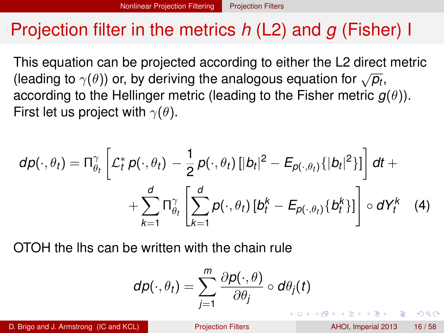# Projection filter in the metrics *h* (L2) and *g* (Fisher) I

This equation can be projected according to either the L2 direct metric (leading to  $\gamma(\theta)$ ) or, by deriving the analogous equation for  $\sqrt{p_t}$ , according to the Hellinger metric (leading to the Fisher metric  $g(\theta)$ ). First let us project with  $\gamma(\theta)$ .

$$
dp(\cdot,\theta_t) = \Pi_{\theta_t}^{\gamma} \left[ \mathcal{L}_t^* p(\cdot,\theta_t) - \frac{1}{2} p(\cdot,\theta_t) \left[ |b_t|^2 - E_{p(\cdot,\theta_t)}\{|b_t|^2\} \right] \right] dt + \\ + \sum_{k=1}^d \Pi_{\theta_t}^{\gamma} \left[ \sum_{k=1}^d p(\cdot,\theta_t) \left[ b_t^k - E_{p(\cdot,\theta_t)}\{b_t^k\} \right] \right] \circ dY_t^k \quad (4)
$$

OTOH the lhs can be written with the chain rule

$$
dp(\cdot,\theta_t)=\sum_{j=1}^m\frac{\partial p(\cdot,\theta)}{\partial \theta_j}\circ d\theta_j(t)
$$

D. Brigo and J. Armstrong (IC and KCL) [Projection Filters](#page-0-0) AHOI, Imperial 2013 16/58

<span id="page-15-0"></span> $\Omega$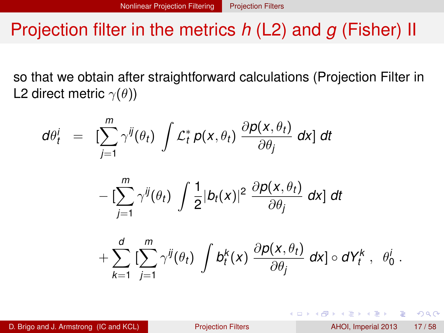# Projection filter in the metrics *h* (L2) and *g* (Fisher) II

so that we obtain after straightforward calculations (Projection Filter in L2 direct metric  $\gamma(\theta)$ )

$$
\theta_t^i = \left[ \sum_{j=1}^m \gamma^{ij}(\theta_t) \int \mathcal{L}_t^* p(x, \theta_t) \frac{\partial p(x, \theta_t)}{\partial \theta_j} dx \right] dt
$$
  

$$
- \left[ \sum_{j=1}^m \gamma^{ij}(\theta_t) \int \frac{1}{2} |b_t(x)|^2 \frac{\partial p(x, \theta_t)}{\partial \theta_j} dx \right] dt
$$
  

$$
+ \sum_{k=1}^d \left[ \sum_{j=1}^m \gamma^{ij}(\theta_t) \int b_t^k(x) \frac{\partial p(x, \theta_t)}{\partial \theta_j} dx \right] \circ dY_t^k, \quad \theta_0^i.
$$

D. Brigo and J. Armstrong (IC and KCL) **[Projection Filters](#page-0-0)** AHOI, Imperial 2013 17/58

*d*θ

<span id="page-16-0"></span> $\Omega$ 

4 ロ ト ィ *同* ト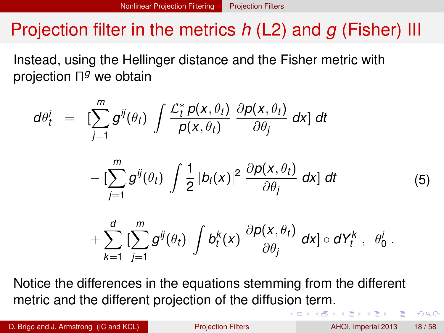# Projection filter in the metrics *h* (L2) and *g* (Fisher) III

Instead, using the Hellinger distance and the Fisher metric with projection Π *<sup>g</sup>* we obtain

$$
d\theta_t^i = \left[ \sum_{j=1}^m g^{ij}(\theta_t) \int \frac{\mathcal{L}_t^* p(x, \theta_t)}{p(x, \theta_t)} \frac{\partial p(x, \theta_t)}{\partial \theta_j} dx \right] dt
$$
  

$$
- \left[ \sum_{j=1}^m g^{ij}(\theta_t) \int \frac{1}{2} |b_t(x)|^2 \frac{\partial p(x, \theta_t)}{\partial \theta_j} dx \right] dt
$$
  

$$
+ \sum_{k=1}^d \left[ \sum_{j=1}^m g^{ij}(\theta_t) \int b_t^k(x) \frac{\partial p(x, \theta_t)}{\partial \theta_j} dx \right] \circ dY_t^k, \quad \theta_0^i.
$$
 (5)

Notice the differences in the equations stemming from the different metric and the different projection of the diffus[ion](#page-16-0) [t](#page-18-0)[er](#page-14-0)[m](#page-17-0)[.](#page-18-0)

D. Brigo and J. Armstrong (IC and KCL) [Projection Filters](#page-0-0) AHOI, Imperial 2013 18/58

*d*θ

<span id="page-17-0"></span> $\Omega$ 

化重氮化重氮化

 $\leftarrow$   $\leftarrow$   $\leftarrow$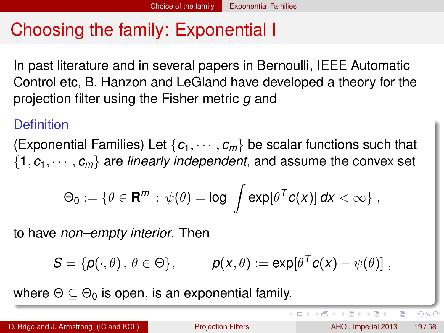# Choosing the family: Exponential I

In past literature and in several papers in Bernoulli, IEEE Automatic Control etc, B. Hanzon and LeGland have developed a theory for the projection filter using the Fisher metric *g* and

#### **Definition**

(Exponential Families) Let  $\{c_1, \dots, c_m\}$  be scalar functions such that  $\{1, c_1, \dots, c_m\}$  are *linearly independent*, and assume the convex set

$$
\Theta_0 := \{ \theta \in \mathbf{R}^m \, : \, \psi(\theta) = \log \, \int \exp[\theta^T c(x)] \, dx < \infty \} \;,
$$

to have *non–empty interior*. Then

$$
S = \{p(\cdot,\theta), \theta \in \Theta\}, \qquad p(x,\theta) := \exp[\theta^T c(x) - \psi(\theta)],
$$

where  $\Theta \subset \Theta_0$  is open, is an exponential family.

Þ

<span id="page-18-0"></span> $\Omega$ 

 $(0,1)$   $(0,1)$   $(0,1)$   $(1,1)$   $(1,1)$   $(1,1)$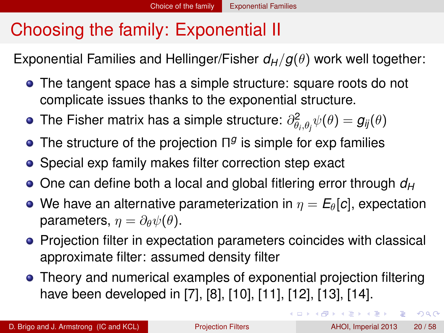# Choosing the family: Exponential II

Exponential Families and Hellinger/Fisher  $d_H/g(\theta)$  work well together:

- The tangent space has a simple structure: square roots do not complicate issues thanks to the exponential structure.
- The Fisher matrix has a simple structure:  $\partial^2_{\theta_i,\theta_j}\psi(\theta)=\boldsymbol g_{ij}(\theta)$
- The structure of the projection Π<sup>g</sup> is simple for exp families
- Special exp family makes filter correction step exact
- $\bullet$  One can define both a local and global fitlering error through  $d_H$
- We have an alternative parameterization in  $\eta = E_{\theta}[c]$ , expectation parameters,  $\eta = \partial_{\theta} \psi(\theta)$ .
- Projection filter in expectation parameters coincides with classical approximate filter: assumed density filter
- Theory and numerical examples of exponential projection filtering have been developed in [\[7\]](#page-67-0), [\[8\]](#page-67-1), [\[10\]](#page-68-0), [\[11\]](#page-68-1), [\[12\]](#page-68-2), [\[13\]](#page-69-0), [\[14\]](#page-69-1).

<span id="page-19-0"></span> $\Omega$ 

 $(0.123 \times 10^{-14} \text{ m}) \times 10^{-14} \text{ m} \times 10^{-14} \text{ m}$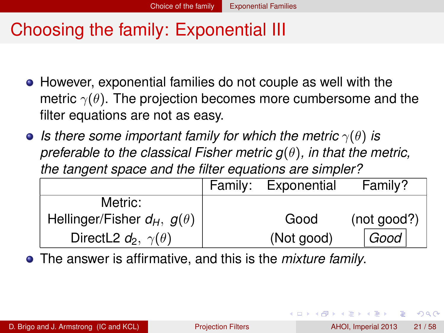## Choosing the family: Exponential III

- However, exponential families do not couple as well with the metric  $\gamma(\theta)$ . The projection becomes more cumbersome and the filter equations are not as easy.
- **•** Is there some important family for which the metric  $\gamma(\theta)$  is *preferable to the classical Fisher metric g*(θ)*, in that the metric, the tangent space and the filter equations are simpler?*

|                                      | Family: | Exponential | Family?     |
|--------------------------------------|---------|-------------|-------------|
| Metric:                              |         |             |             |
| Hellinger/Fisher $d_H$ , $g(\theta)$ |         | Good        | (not good?) |
| DirectL2 $d_2$ , $\gamma(\theta)$    |         | (Not good)  | Good        |

The answer is affirmative, and this is the *mixture family*.

 $\leftarrow$   $\sim$   $\sim$   $\sim$   $\sim$   $\sim$ 

<span id="page-20-0"></span> $\Omega$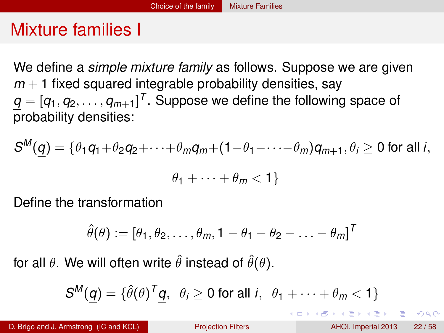#### Mixture families I

We define a *simple mixture family* as follows. Suppose we are given  $m+1$  fixed squared integrable probability densities, say  $\bm{q} = [q_1, q_2, \ldots, q_{m+1}]^T$ . Suppose we define the following space of probability densities:

$$
S^M(\underline{q}) = \{\theta_1 q_1 + \theta_2 q_2 + \cdots + \theta_m q_m + (1 - \theta_1 - \cdots - \theta_m) q_{m+1}, \theta_i \ge 0 \text{ for all } i, \theta_1 + \cdots + \theta_m < 1\}
$$

Define the transformation

$$
\hat{\theta}(\theta) := [\theta_1, \theta_2, \dots, \theta_m, 1 - \theta_1 - \theta_2 - \dots - \theta_m]^T
$$

for all  $\theta.$  We will often write  $\hat{\theta}$  instead of  $\hat{\theta}(\theta).$ 

$$
S^M(\underline{q}) = \{ \hat{\theta}(\theta)^T \underline{q}, \ \theta_i \ge 0 \text{ for all } i, \ \theta_1 + \cdots + \theta_m < 1 \}
$$

<span id="page-21-0"></span> $\Omega$ 

**REPAREM**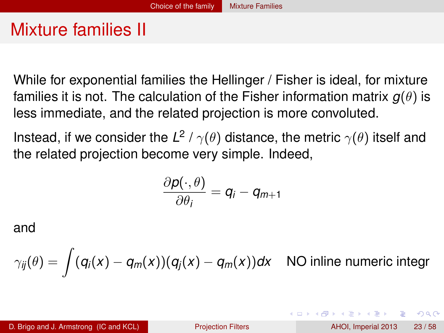#### Mixture families II

While for exponential families the Hellinger / Fisher is ideal, for mixture families it is not. The calculation of the Fisher information matrix  $g(\theta)$  is less immediate, and the related projection is more convoluted.

Instead, if we consider the L<sup>2</sup> /  $\gamma(\theta)$  distance, the metric  $\gamma(\theta)$  itself and the related projection become very simple. Indeed,

$$
\frac{\partial \boldsymbol{p}(\cdot,\theta)}{\partial \theta_i} = \boldsymbol{q}_i - \boldsymbol{q}_{m+1}
$$

and

$$
\gamma_{ij}(\theta) = \int (q_i(x) - q_m(x))(q_j(x) - q_m(x))dx \quad \text{NO inline numeric integer}
$$

<span id="page-22-0"></span> $\Omega$ 

4 0 8 4 5 8 4 5 8 4 5 8 1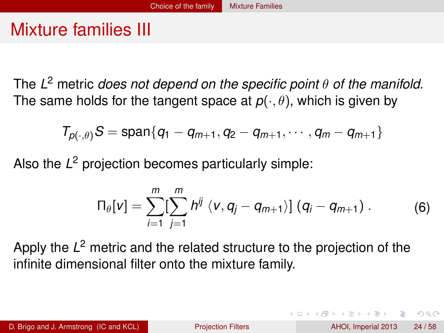#### Mixture families III

The *L* <sup>2</sup> metric *does not depend on the specific point* θ *of the manifold*. The same holds for the tangent space at  $p(\cdot,\theta)$ , which is given by

$$
T_{p(\cdot,\theta)}S = \text{span}\{q_1 - q_{m+1}, q_2 - q_{m+1}, \cdots, q_m - q_{m+1}\}\
$$

Also the *L* <sup>2</sup> projection becomes particularly simple:

$$
\Pi_{\theta}[v] = \sum_{i=1}^{m} \left[ \sum_{j=1}^{m} h^{ij} \langle v, q_j - q_{m+1} \rangle \right] (q_i - q_{m+1}). \tag{6}
$$

Apply the *L* <sup>2</sup> metric and the related structure to the projection of the infinite dimensional filter onto the mixture family.

<span id="page-23-0"></span> $\Omega$ 

イロト イ押 トイラ トイラトー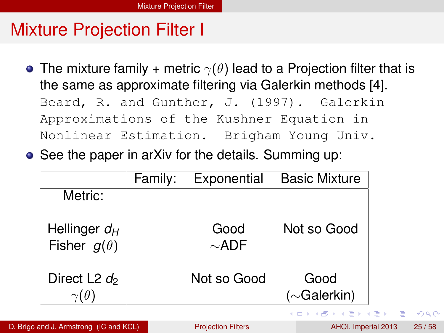#### Mixture Projection Filter I

- The mixture family + metric  $\gamma(\theta)$  lead to a Projection filter that is the same as approximate filtering via Galerkin methods [\[4\]](#page-66-2). Beard, R. and Gunther, J. (1997). Galerkin Approximations of the Kushner Equation in Nonlinear Estimation. Brigham Young Univ.
- See the paper in arXiv for the details. Summing up:

|                                       | Family: | Exponential        | <b>Basic Mixture</b>       |
|---------------------------------------|---------|--------------------|----------------------------|
| Metric:                               |         |                    |                            |
| Hellinger $d_H$<br>Fisher $g(\theta)$ |         | Good<br>$\sim$ ADF | Not so Good                |
| Direct L <sub>2</sub> $d_2$           |         | Not so Good        | Good<br>( $\sim$ Galerkin) |
|                                       |         |                    | -4 B +<br>$\rightarrow$    |

D. Brigo and J. Armstrong (IC and KCL) [Projection Filters](#page-0-0) AHOI, Imperial 2013 25/58

<span id="page-24-0"></span> $\Omega$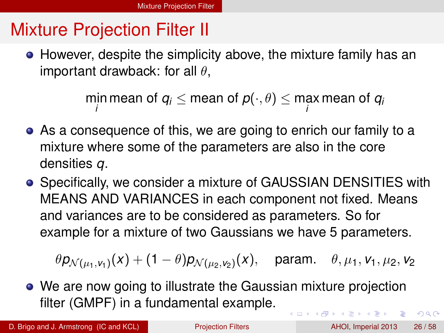## Mixture Projection Filter II

However, despite the simplicity above, the mixture family has an important drawback: for all  $\theta$ ,

```
\min\limits_{i} mean of q_i \leq mean of p(\cdot,\theta) \leq \max\limits_{i} mean of q_i
```
- As a consequence of this, we are going to enrich our family to a mixture where some of the parameters are also in the core densities *q*.
- **•** Specifically, we consider a mixture of GAUSSIAN DENSITIES with MEANS AND VARIANCES in each component not fixed. Means and variances are to be considered as parameters. So for example for a mixture of two Gaussians we have 5 parameters.

$$
\theta p_{\mathcal{N}(\mu_1, v_1)}(x) + (1 - \theta) p_{\mathcal{N}(\mu_2, v_2)}(x), \text{ param. } \theta, \mu_1, v_1, \mu_2, v_2
$$

We are now going to illustrate the Gaussian mixture projection filter (GMPF) in a fundamental example. イロト イ押 トイラト イラト

D. Brigo and J. Armstrong (IC and KCL) [Projection Filters](#page-0-0) AHOI, Imperial 2013 26/58

<span id="page-25-0"></span> $\Omega$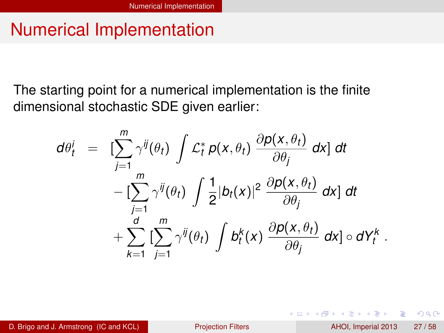### Numerical Implementation

The starting point for a numerical implementation is the finite dimensional stochastic SDE given earlier:

$$
d\theta_t^i = \left[\sum_{j=1}^m \gamma^{ij}(\theta_t) \int \mathcal{L}_t^* p(x, \theta_t) \frac{\partial p(x, \theta_t)}{\partial \theta_j} dx\right] dt - \left[\sum_{j=1}^m \gamma^{ij}(\theta_t) \int \frac{1}{2} |b_t(x)|^2 \frac{\partial p(x, \theta_t)}{\partial \theta_j} dx\right] dt + \sum_{k=1}^d \left[\sum_{j=1}^m \gamma^{ij}(\theta_t) \int b_t^k(x) \frac{\partial p(x, \theta_t)}{\partial \theta_j} dx\right] \circ dY_t^k.
$$

D. Brigo and J. Armstrong (IC and KCL) **[Projection Filters](#page-0-0)** AHOI, Imperial 2013 27/58

ヨメ イヨメ

<span id="page-26-0"></span> $\Omega$ 

4 D E 4 HP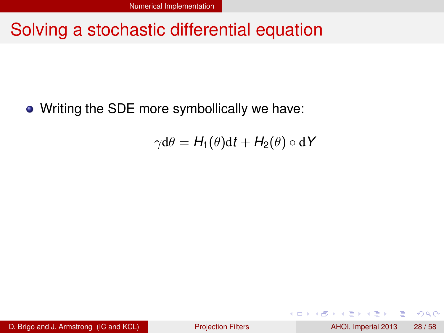• Writing the SDE more symbollically we have:

$$
\gamma d\theta = H_1(\theta)dt + H_2(\theta) \circ dY
$$

<span id="page-27-0"></span> $\Omega$ 

あきす あき

4 D E 4 HP

 $\sim$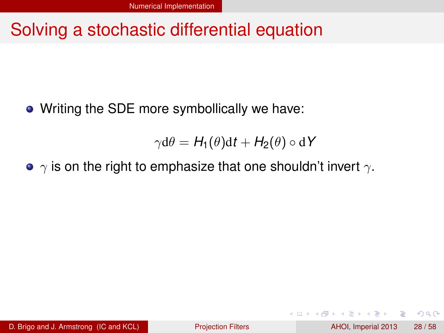• Writing the SDE more symbollically we have:

$$
\gamma \mathrm{d} \theta = H_1(\theta) \mathrm{d} t + H_2(\theta) \circ \mathrm{d} Y
$$

•  $\gamma$  is on the right to emphasize that one shouldn't invert  $\gamma$ .

<span id="page-28-0"></span> $\Omega$ 

ヨメ イヨメ

4 D E 4 HP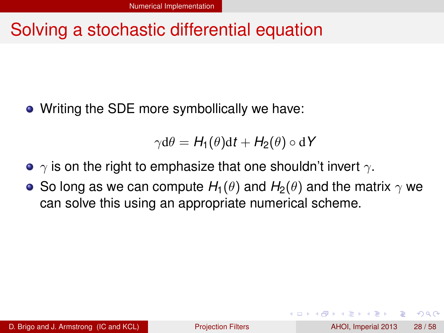• Writing the SDE more symbollically we have:

 $\gamma d\theta = H_1(\theta)dt + H_2(\theta) \circ dY$ 

- $\bullet$   $\gamma$  is on the right to emphasize that one shouldn't invert  $\gamma$ .
- **So long as we can compute**  $H_1(\theta)$  **and**  $H_2(\theta)$  **and the matrix**  $\gamma$  **we** can solve this using an appropriate numerical scheme.

<span id="page-29-0"></span> $\Omega$ 

イロト イ押 トイラト イラト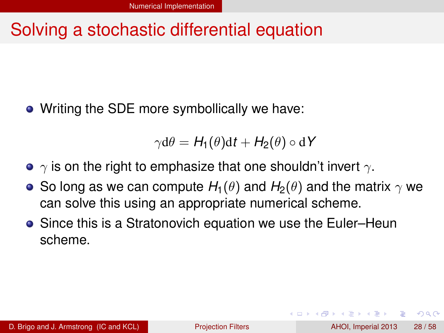• Writing the SDE more symbollically we have:

 $\gamma d\theta = H_1(\theta)dt + H_2(\theta) \circ dY$ 

- $\bullet$   $\gamma$  is on the right to emphasize that one shouldn't invert  $\gamma$ .
- **So long as we can compute**  $H_1(\theta)$  **and**  $H_2(\theta)$  **and the matrix**  $\gamma$  **we** can solve this using an appropriate numerical scheme.
- Since this is a Stratonovich equation we use the Euler–Heun scheme.

<span id="page-30-0"></span> $\Omega$ 

イロト イ押 トイラト イラト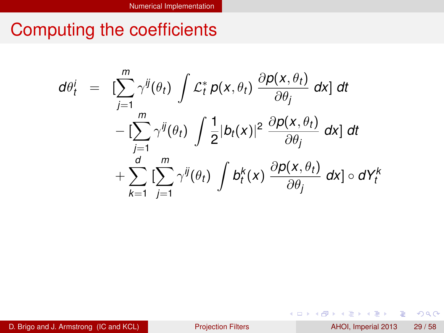$$
d\theta_t^i = \left[ \sum_{j=1}^m \gamma^{ij}(\theta_t) \int \mathcal{L}_t^* p(x, \theta_t) \frac{\partial p(x, \theta_t)}{\partial \theta_j} dx \right] dt - \left[ \sum_{j=1}^m \gamma^{ij}(\theta_t) \int \frac{1}{2} |b_t(x)|^2 \frac{\partial p(x, \theta_t)}{\partial \theta_j} dx \right] dt + \sum_{k=1}^d \left[ \sum_{j=1}^m \gamma^{ij}(\theta_t) \int b_t^k(x) \frac{\partial p(x, \theta_t)}{\partial \theta_j} dx \right] \circ dY_t^k
$$

D. Brigo and J. Armstrong (IC and KCL) **[Projection Filters](#page-0-0)** AHOI, Imperial 2013 29/58

重

<span id="page-31-0"></span> $299$ 

(ロトイ部)→(差)→(差)→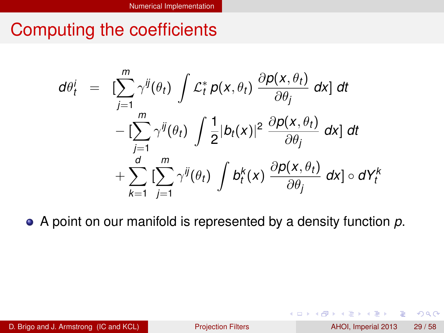$$
d\theta_t^i = \left[ \sum_{j=1}^m \gamma^{ij}(\theta_t) \int \mathcal{L}_t^* p(x, \theta_t) \frac{\partial p(x, \theta_t)}{\partial \theta_j} dx \right] dt - \left[ \sum_{j=1}^m \gamma^{ij}(\theta_t) \int \frac{1}{2} |b_t(x)|^2 \frac{\partial p(x, \theta_t)}{\partial \theta_j} dx \right] dt + \sum_{k=1}^d \left[ \sum_{j=1}^m \gamma^{ij}(\theta_t) \int b_t^k(x) \frac{\partial p(x, \theta_t)}{\partial \theta_j} dx \right] \circ dY_t^k
$$

A point on our manifold is represented by a density function *p*.

E

<span id="page-32-0"></span> $\Omega$ 

**REPAREM** 

4 ロ ト ィ *同* ト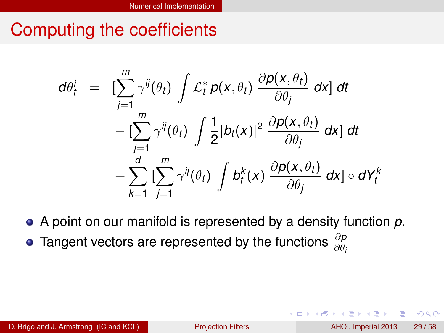$$
d\theta_t^i = \left[ \sum_{j=1}^m \gamma^{ij}(\theta_t) \int \mathcal{L}_t^* p(x, \theta_t) \frac{\partial p(x, \theta_t)}{\partial \theta_j} dx \right] dt - \left[ \sum_{j=1}^m \gamma^{ij}(\theta_t) \int \frac{1}{2} |b_t(x)|^2 \frac{\partial p(x, \theta_t)}{\partial \theta_j} dx \right] dt + \sum_{k=1}^d \left[ \sum_{j=1}^m \gamma^{ij}(\theta_t) \int b_t^k(x) \frac{\partial p(x, \theta_t)}{\partial \theta_j} dx \right] \circ dY_t^k
$$

- A point on our manifold is represented by a density function *p*.
- Tangent vectors are represented by the functions <sup>∂</sup>*<sup>p</sup>* ∂θ*<sup>i</sup>*

<span id="page-33-0"></span> $\Omega$ 

The South The

4 D E 4 HP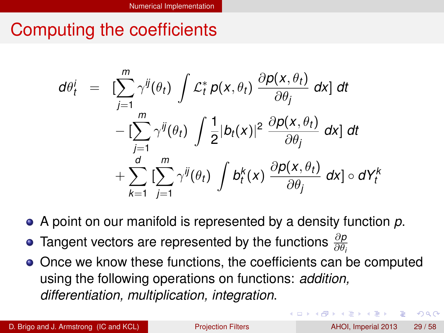$$
d\theta_t^i = \left[ \sum_{j=1}^m \gamma^{ij}(\theta_t) \int \mathcal{L}_t^* p(x, \theta_t) \frac{\partial p(x, \theta_t)}{\partial \theta_j} dx \right] dt - \left[ \sum_{j=1}^m \gamma^{ij}(\theta_t) \int \frac{1}{2} |b_t(x)|^2 \frac{\partial p(x, \theta_t)}{\partial \theta_j} dx \right] dt + \sum_{k=1}^d \left[ \sum_{j=1}^m \gamma^{ij}(\theta_t) \int b_t^k(x) \frac{\partial p(x, \theta_t)}{\partial \theta_j} dx \right] \circ dY_t^k
$$

- A point on our manifold is represented by a density function *p*.
- Tangent vectors are represented by the functions <sup>∂</sup>*<sup>p</sup>* ∂θ*<sup>i</sup>*
- Once we know these functions, the coefficients can be computed using the following operations on functions: *addition, differentiation, multiplication, integration*.

<span id="page-34-0"></span> $\Omega$ 

The South Book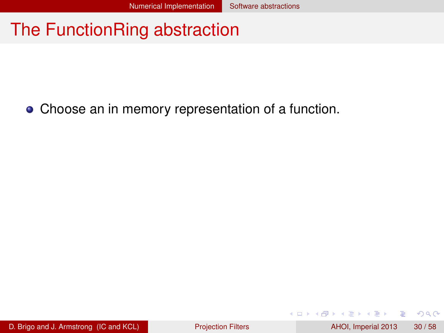#### The FunctionRing abstraction

Choose an in memory representation of a function.

Þ

<span id="page-35-0"></span> $\Omega$ 

ヨメ イヨメ

4 D E 4 HP

 $\sim$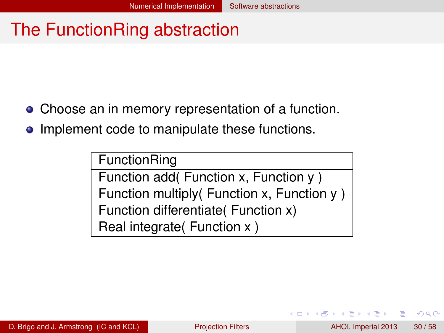# The FunctionRing abstraction

- Choose an in memory representation of a function.
- Implement code to manipulate these functions.

FunctionRing

Function add( Function x, Function y ) Function multiply( Function x, Function y ) Function differentiate( Function x) Real integrate( Function x )

<span id="page-36-0"></span> $\Omega$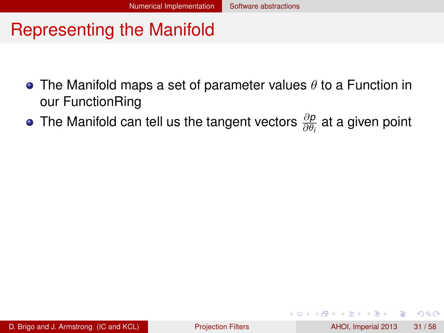# Representing the Manifold

- **•** The Manifold maps a set of parameter values  $\theta$  to a Function in our FunctionRing
- The Manifold can tell us the tangent vectors  $\frac{\partial \bm{\rho}}{\partial \theta_i}$  at a given point

4 D.K.

<span id="page-37-0"></span> $\Omega$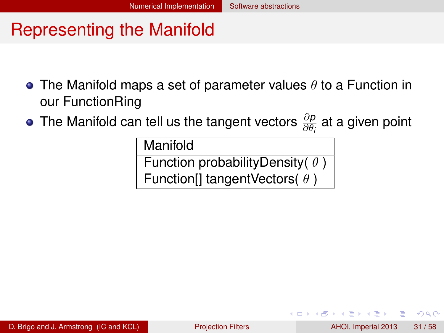# Representing the Manifold

- **•** The Manifold maps a set of parameter values  $\theta$  to a Function in our FunctionRing
- The Manifold can tell us the tangent vectors  $\frac{\partial \bm{\rho}}{\partial \theta_i}$  at a given point

Manifold

Function probabilityDensity( $\theta$ )

Function[] tangentVectors( $\theta$ )

<span id="page-38-0"></span> $\Omega$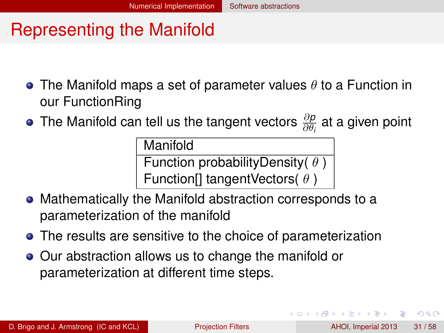# Representing the Manifold

- **•** The Manifold maps a set of parameter values  $\theta$  to a Function in our FunctionRing
- The Manifold can tell us the tangent vectors  $\frac{\partial \bm{\rho}}{\partial \theta_i}$  at a given point

Manifold Function probabilityDensity( $\theta$ ) Function[] tangentVectors( $\theta$ )

- Mathematically the Manifold abstraction corresponds to a parameterization of the manifold
- The results are sensitive to the choice of parameterization
- Our abstraction allows us to change the manifold or parameterization at different time steps.

<span id="page-39-0"></span> $\Omega$ 

化重氮化重氮

( □ ) ( / <sup>□</sup>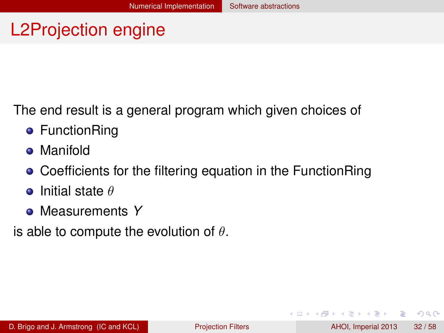# L2Projection engine

The end result is a general program which given choices of

- **•** FunctionRing
- **•** Manifold
- Coefficients for the filtering equation in the FunctionRing
- **•** Initial state  $\theta$
- Measurements *Y*

is able to compute the evolution of  $\theta$ .

<span id="page-40-0"></span> $\Omega$ 

**REPARE** 

4 ロ ト ィ *同* ト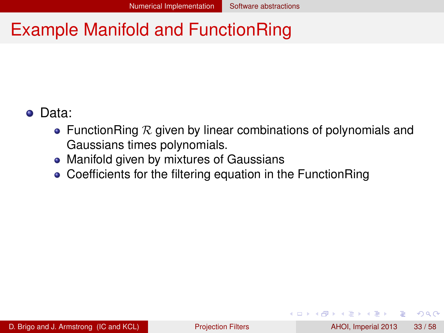# Example Manifold and FunctionRing

#### Data:

- FunctionRing R given by linear combinations of polynomials and Gaussians times polynomials.
- Manifold given by mixtures of Gaussians
- Coefficients for the filtering equation in the FunctionRing

<span id="page-41-0"></span> $\Omega$ 

化重氮化重氮

4 D E 4 HP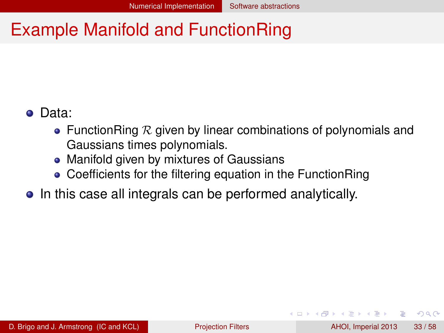# Example Manifold and FunctionRing

- Data:
	- FunctionRing R given by linear combinations of polynomials and Gaussians times polynomials.
	- Manifold given by mixtures of Gaussians
	- Coefficients for the filtering equation in the FunctionRing
- In this case all integrals can be performed analytically.

<span id="page-42-0"></span> $\Omega$ 

化重氮化重氮

 $\leftarrow$   $\Box$   $\rightarrow$   $\leftarrow$   $\Box$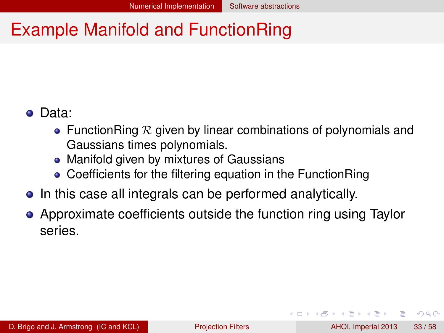# Example Manifold and FunctionRing

- Data:
	- FunctionRing R given by linear combinations of polynomials and Gaussians times polynomials.
	- Manifold given by mixtures of Gaussians
	- Coefficients for the filtering equation in the FunctionRing
- In this case all integrals can be performed analytically.
- Approximate coefficients outside the function ring using Taylor series.

<span id="page-43-0"></span> $\Omega$ 

**REPAREM** 

4 ロ ト ィ *同* ト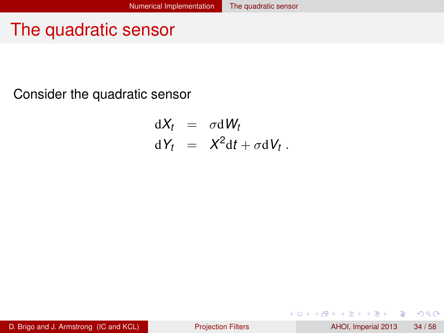Consider the quadratic sensor

$$
dX_t = \sigma dW_t
$$
  

$$
dY_t = X^2 dt + \sigma dV_t.
$$

活

<span id="page-44-0"></span> $299$ 

 $A \equiv A \cdot A \equiv A$ 

4 D E 4 HP  $\mathbf{p}$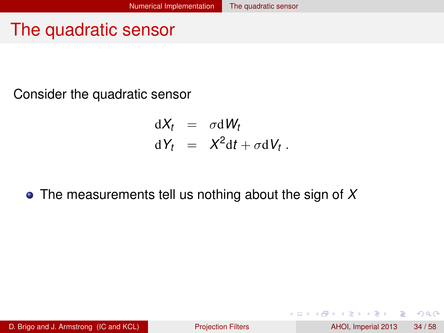Consider the quadratic sensor

$$
dX_t = \sigma dW_t
$$
  

$$
dY_t = X^2 dt + \sigma dV_t.
$$

The measurements tell us nothing about the sign of *X*

D. Brigo and J. Armstrong (IC and KCL) **[Projection Filters](#page-0-0)** AHOI, Imperial 2013 34/58

Þ

<span id="page-45-0"></span> $\Omega$ 

医下半面

4 D E 4 HP

 $\sim$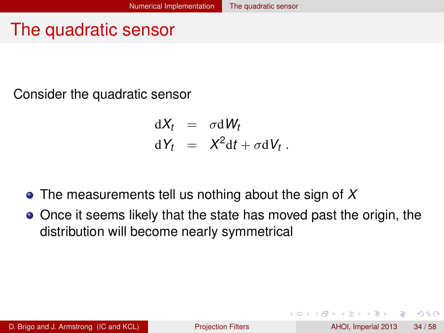Consider the quadratic sensor

$$
dX_t = \sigma dW_t
$$
  

$$
dY_t = X^2 dt + \sigma dV_t.
$$

- The measurements tell us nothing about the sign of *X*
- Once it seems likely that the state has moved past the origin, the distribution will become nearly symmetrical

<span id="page-46-0"></span> $\Omega$ 

 $\mathcal{A} \subset \mathbb{R}^n \times \mathcal{A} \subset \mathbb{R}^n \times \mathcal{A}$ 

4 D E 4 HP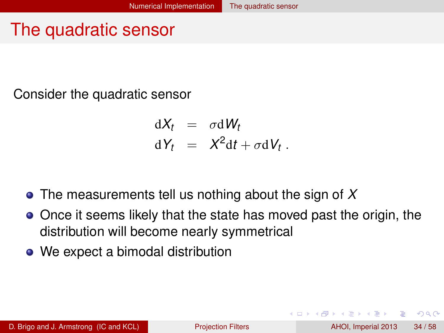Consider the quadratic sensor

 $dX_t = \sigma dW_t$  $dY_t = X^2 dt + \sigma dV_t$ .

- The measurements tell us nothing about the sign of *X*
- Once it seems likely that the state has moved past the origin, the distribution will become nearly symmetrical
- We expect a bimodal distribution

<span id="page-47-0"></span> $\Omega$ 

イロト イ押 トイラト イラト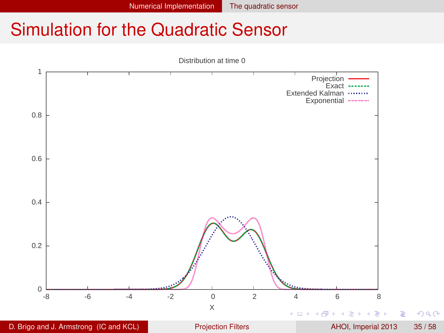<span id="page-48-0"></span>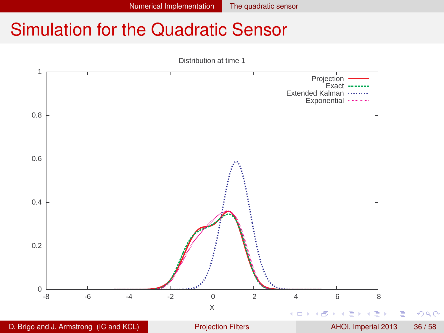<span id="page-49-0"></span>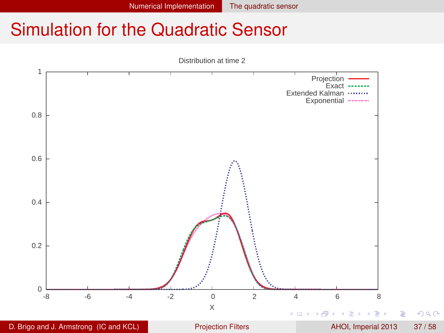<span id="page-50-0"></span>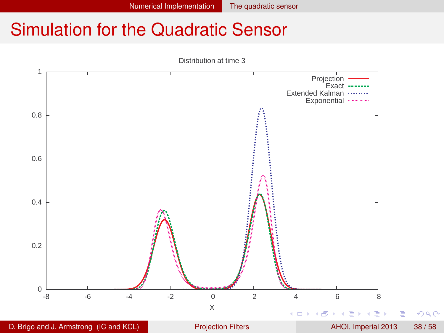<span id="page-51-0"></span>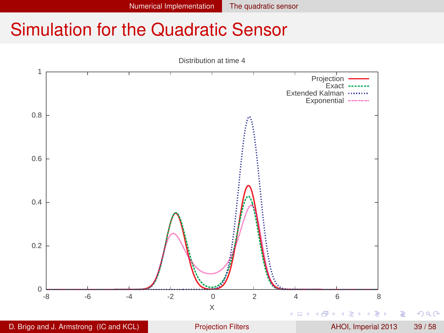<span id="page-52-0"></span>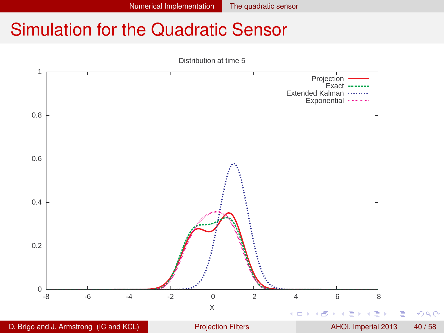<span id="page-53-0"></span>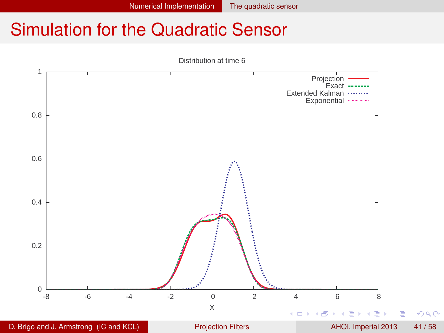<span id="page-54-0"></span>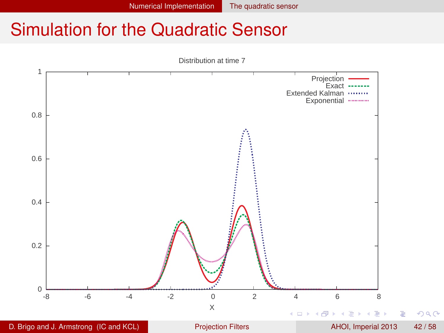<span id="page-55-0"></span>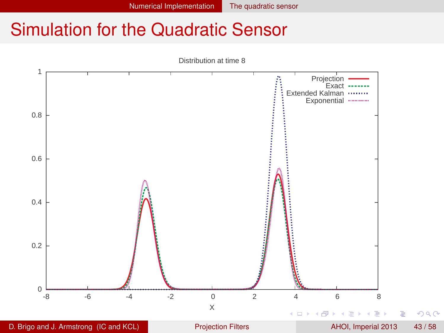<span id="page-56-0"></span>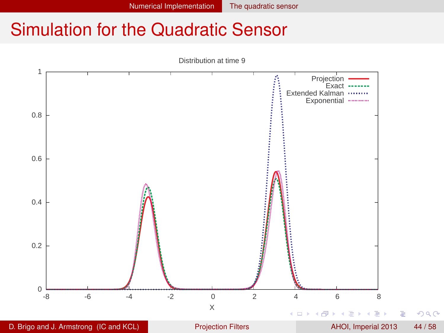<span id="page-57-0"></span>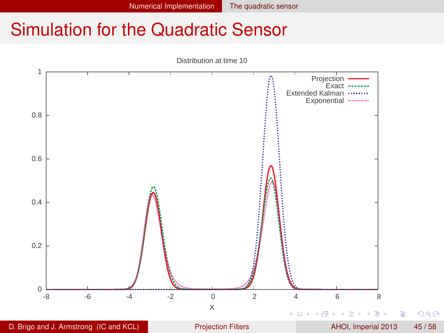<span id="page-58-0"></span>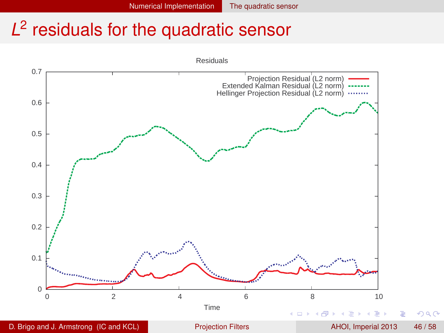# *L* 2 residuals for the quadratic sensor

<span id="page-59-0"></span>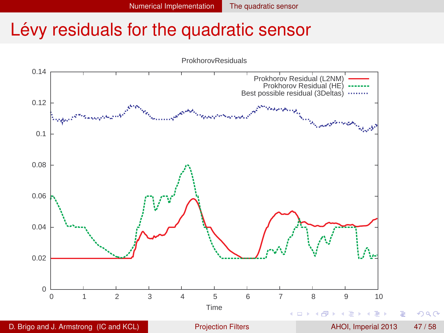## Lévy residuals for the quadratic sensor

<span id="page-60-0"></span>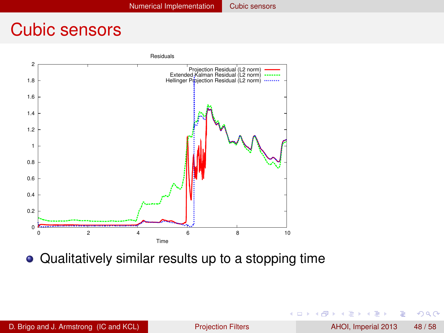#### Cubic sensors



Qualitatively similar results up to a stopping time

<span id="page-61-0"></span> $\Omega$ 

∍

イロト イ押ト イヨト イヨ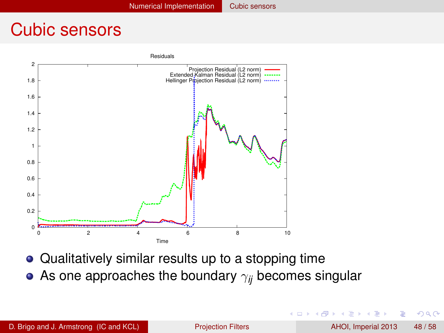#### Cubic sensors



- Qualitatively similar results up to a stopping time
- As one approaches the boundary γ*ij* becomes singular

<span id="page-62-0"></span> $\Omega$ 

化重新分离

4 D E 4 HP

 $\sim$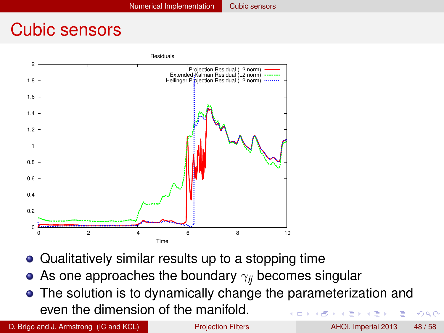#### Cubic sensors



- Qualitatively similar results up to a stopping time
- As one approaches the boundary  $\gamma_{ii}$  becomes singular
- The solution is to dynamically change the parameterization and even the dimension of the manifold. **CONTINUE**  $\Omega$

D. Brigo and J. Armstrong (IC and KCL) [Projection Filters](#page-0-0) AHOI, Imperial 2013 48/58

<span id="page-63-0"></span>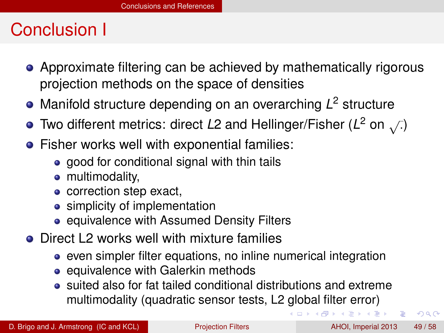# Conclusion I

- Approximate filtering can be achieved by mathematically rigorous projection methods on the space of densities
- Manifold structure depending on an overarching *L* <sup>2</sup> structure
- Two different metrics: direct *L*2 and Hellinger/Fisher (*L* <sup>2</sup> on <sup>√</sup>.)
- **•** Fisher works well with exponential families:
	- good for conditional signal with thin tails
	- multimodality,
	- correction step exact,
	- simplicity of implementation
	- equivalence with Assumed Density Filters
- Direct L2 works well with mixture families
	- even simpler filter equations, no inline numerical integration
	- equivalence with Galerkin methods
	- suited also for fat tailed conditional distributions and extreme multimodality (quadratic sensor tests, L2 global filter error)

<span id="page-64-0"></span> $\Omega$ 

 $(0.123 \times 10^{-14} \text{ m}) \times 10^{-14} \text{ m} \times 10^{-14} \text{ m}$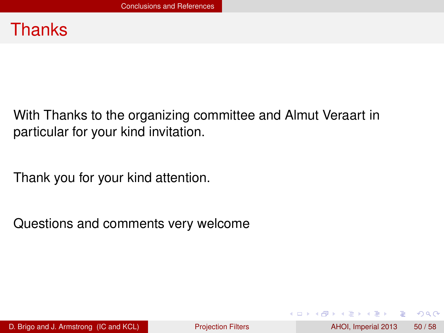#### Thanks

With Thanks to the organizing committee and Almut Veraart in particular for your kind invitation.

Thank you for your kind attention.

Questions and comments very welcome

<span id="page-65-0"></span> $\Omega$ 

 $\rightarrow$   $\rightarrow$   $\rightarrow$   $\rightarrow$   $\rightarrow$ 

4 ロ ト ィ *同* ト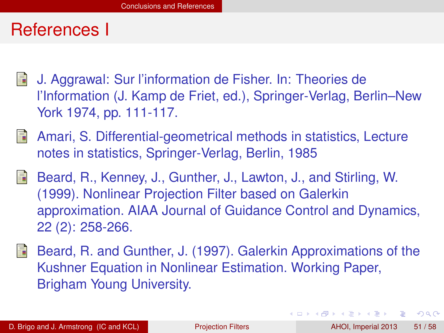#### References I

- J. Aggrawal: Sur l'information de Fisher. In: Theories de l'Information (J. Kamp de Friet, ed.), Springer-Verlag, Berlin–New York 1974, pp. 111-117.
- Amari, S. Differential-geometrical methods in statistics, Lecture 譶 notes in statistics, Springer-Verlag, Berlin, 1985
- Beard, R., Kenney, J., Gunther, J., Lawton, J., and Stirling, W. (1999). Nonlinear Projection Filter based on Galerkin approximation. AIAA Journal of Guidance Control and Dynamics, 22 (2): 258-266.
- 譶 Beard, R. and Gunther, J. (1997). Galerkin Approximations of the Kushner Equation in Nonlinear Estimation. Working Paper, Brigham Young University.

<span id="page-66-0"></span> $\Omega$ 

 $(0.125 \times 10^{-14} \text{ m}) \times 10^{-14} \text{ m}$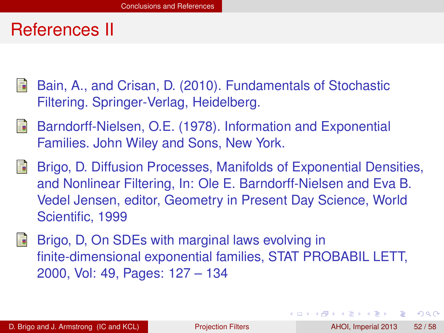#### References II

- Bain, A., and Crisan, D. (2010). Fundamentals of Stochastic Filtering. Springer-Verlag, Heidelberg.
- Barndorff-Nielsen, O.E. (1978). Information and Exponential 晶 Families. John Wiley and Sons, New York.
- Brigo, D. Diffusion Processes, Manifolds of Exponential Densities, and Nonlinear Filtering, In: Ole E. Barndorff-Nielsen and Eva B. Vedel Jensen, editor, Geometry in Present Day Science, World Scientific, 1999
- Brigo, D, On SDEs with marginal laws evolving in finite-dimensional exponential families, STAT PROBABIL LETT, 2000, Vol: 49, Pages: 127 – 134

<span id="page-67-0"></span> $\Omega$ 

 $(0.125 \times 10^{-14} \text{ m}) \times 10^{-14} \text{ m}$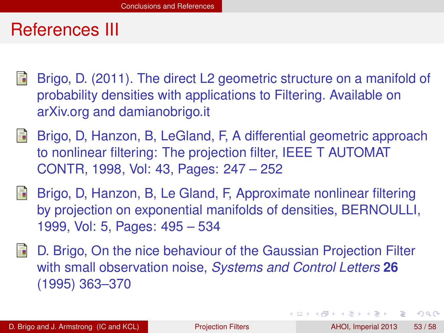### References III

- Brigo, D. (2011). The direct L2 geometric structure on a manifold of probability densities with applications to Filtering. Available on arXiv.org and damianobrigo.it
- R Brigo, D, Hanzon, B, LeGland, F, A differential geometric approach to nonlinear filtering: The projection filter, IEEE T AUTOMAT CONTR, 1998, Vol: 43, Pages: 247 – 252
- Brigo, D, Hanzon, B, Le Gland, F, Approximate nonlinear filtering by projection on exponential manifolds of densities, BERNOULLI, 1999, Vol: 5, Pages: 495 – 534
- D. Brigo, On the nice behaviour of the Gaussian Projection Filter with small observation noise, *Systems and Control Letters* **26** (1995) 363–370

<span id="page-68-0"></span> $\Omega$ 

K ロ ト K 個 ト K 君 ト K 君 ト 一君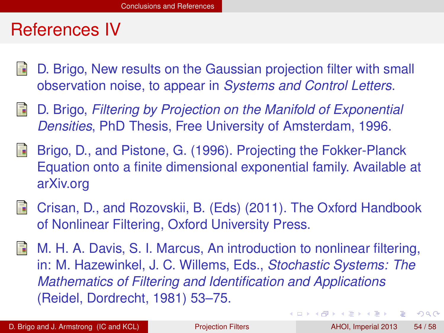# References IV

- D. Brigo, New results on the Gaussian projection filter with small observation noise, to appear in *Systems and Control Letters*.
- F D. Brigo, *Filtering by Projection on the Manifold of Exponential Densities*, PhD Thesis, Free University of Amsterdam, 1996.
- Brigo, D., and Pistone, G. (1996). Projecting the Fokker-Planck Equation onto a finite dimensional exponential family. Available at arXiv.org
- 靠 Crisan, D., and Rozovskii, B. (Eds) (2011). The Oxford Handbook of Nonlinear Filtering, Oxford University Press.
- F M. H. A. Davis, S. I. Marcus, An introduction to nonlinear filtering, in: M. Hazewinkel, J. C. Willems, Eds., *Stochastic Systems: The Mathematics of Filtering and Identification and Applications* (Reidel, Dordrecht, 1981) 53–75.

в

<span id="page-69-0"></span> $\Omega$ 

イロト イ押ト イヨト イヨトー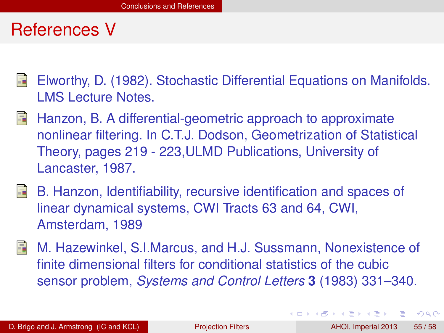#### References V

- Elworthy, D. (1982). Stochastic Differential Equations on Manifolds. LMS Lecture Notes.
- Hanzon, B. A differential-geometric approach to approximate nonlinear filtering. In C.T.J. Dodson, Geometrization of Statistical Theory, pages 219 - 223,ULMD Publications, University of Lancaster, 1987.
- F B. Hanzon, Identifiability, recursive identification and spaces of linear dynamical systems, CWI Tracts 63 and 64, CWI, Amsterdam, 1989
- M. Hazewinkel, S.I.Marcus, and H.J. Sussmann, Nonexistence of finite dimensional filters for conditional statistics of the cubic sensor problem, *Systems and Control Letters* **3** (1983) 331–340.

в

<span id="page-70-0"></span> $\Omega$ 

4 0 8 4 6 8 4 9 8 4 9 8 1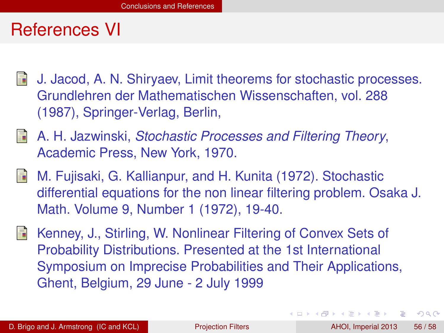#### References VI

- J. Jacod, A. N. Shiryaev, Limit theorems for stochastic processes. Grundlehren der Mathematischen Wissenschaften, vol. 288 (1987), Springer-Verlag, Berlin,
- A. H. Jazwinski, *Stochastic Processes and Filtering Theory*, 霩 Academic Press, New York, 1970.
- M. Fujisaki, G. Kallianpur, and H. Kunita (1972). Stochastic differential equations for the non linear filtering problem. Osaka J. Math. Volume 9, Number 1 (1972), 19-40.
- Ħ Kenney, J., Stirling, W. Nonlinear Filtering of Convex Sets of Probability Distributions. Presented at the 1st International Symposium on Imprecise Probabilities and Their Applications, Ghent, Belgium, 29 June - 2 July 1999

<span id="page-71-0"></span> $\Omega$ 

 $(0.125 \times 10^{-14} \text{ m}) \times 10^{-14} \text{ m}$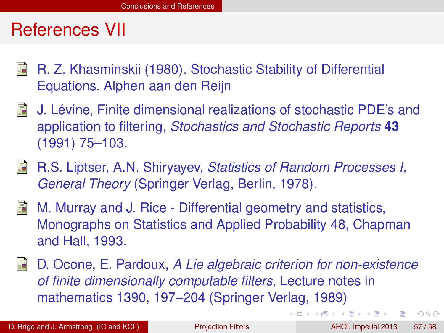## References VII

- F R. Z. Khasminskii (1980). Stochastic Stability of Differential Equations. Alphen aan den Reijn
- F J. Levine, Finite dimensional realizations of stochastic PDE's and ´ application to filtering, *Stochastics and Stochastic Reports* **43** (1991) 75–103.
- R.S. Liptser, A.N. Shiryayev, *Statistics of Random Processes I, General Theory* (Springer Verlag, Berlin, 1978).
- 歸 M. Murray and J. Rice - Differential geometry and statistics, Monographs on Statistics and Applied Probability 48, Chapman and Hall, 1993.
- D. Ocone, E. Pardoux, *A Lie algebraic criterion for non-existence of finite dimensionally computable filters*, Lecture notes in mathematics 1390, 197–204 (Springer Verlag, 1989)

<span id="page-72-0"></span> $\Omega$ 

 $(0.125 \times 10^{-14} \text{ m}) \times 10^{-14} \text{ m}$